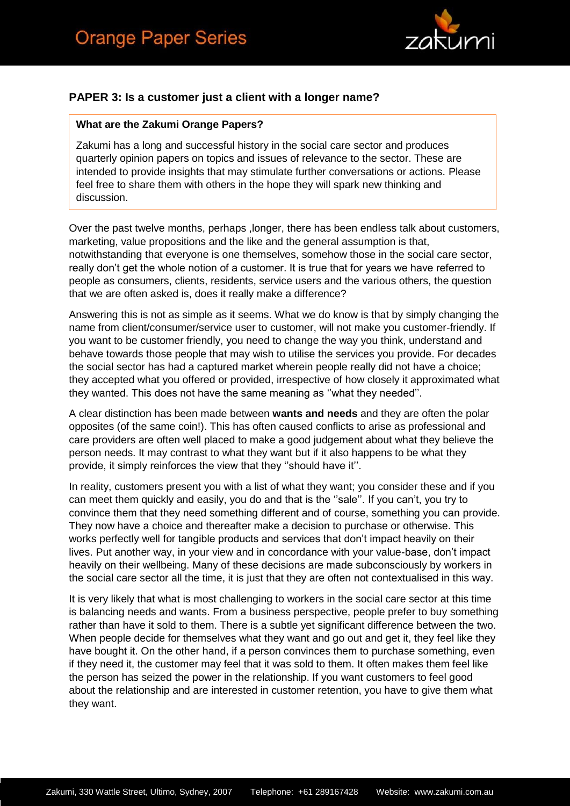

### **PAPER 3: Is a customer just a client with a longer name?**

#### **What are the Zakumi Orange Papers?**

Zakumi has a long and successful history in the social care sector and produces quarterly opinion papers on topics and issues of relevance to the sector. These are intended to provide insights that may stimulate further conversations or actions. Please feel free to share them with others in the hope they will spark new thinking and discussion.

Over the past twelve months, perhaps ,longer, there has been endless talk about customers, marketing, value propositions and the like and the general assumption is that, notwithstanding that everyone is one themselves, somehow those in the social care sector, really don't get the whole notion of a customer. It is true that for years we have referred to people as consumers, clients, residents, service users and the various others, the question that we are often asked is, does it really make a difference?

Answering this is not as simple as it seems. What we do know is that by simply changing the name from client/consumer/service user to customer, will not make you customer-friendly. If you want to be customer friendly, you need to change the way you think, understand and behave towards those people that may wish to utilise the services you provide. For decades the social sector has had a captured market wherein people really did not have a choice; they accepted what you offered or provided, irrespective of how closely it approximated what they wanted. This does not have the same meaning as ''what they needed''.

A clear distinction has been made between **wants and needs** and they are often the polar opposites (of the same coin!). This has often caused conflicts to arise as professional and care providers are often well placed to make a good judgement about what they believe the person needs. It may contrast to what they want but if it also happens to be what they provide, it simply reinforces the view that they ''should have it''.

In reality, customers present you with a list of what they want; you consider these and if you can meet them quickly and easily, you do and that is the "sale". If you can't, you try to convince them that they need something different and of course, something you can provide. They now have a choice and thereafter make a decision to purchase or otherwise. This works perfectly well for tangible products and services that don't impact heavily on their lives. Put another way, in your view and in concordance with your value-base, don't impact heavily on their wellbeing. Many of these decisions are made subconsciously by workers in the social care sector all the time, it is just that they are often not contextualised in this way.

It is very likely that what is most challenging to workers in the social care sector at this time is balancing needs and wants. From a business perspective, people prefer to buy something rather than have it sold to them. There is a subtle yet significant difference between the two. When people decide for themselves what they want and go out and get it, they feel like they have bought it. On the other hand, if a person convinces them to purchase something, even if they need it, the customer may feel that it was sold to them. It often makes them feel like the person has seized the power in the relationship. If you want customers to feel good about the relationship and are interested in customer retention, you have to give them what they want.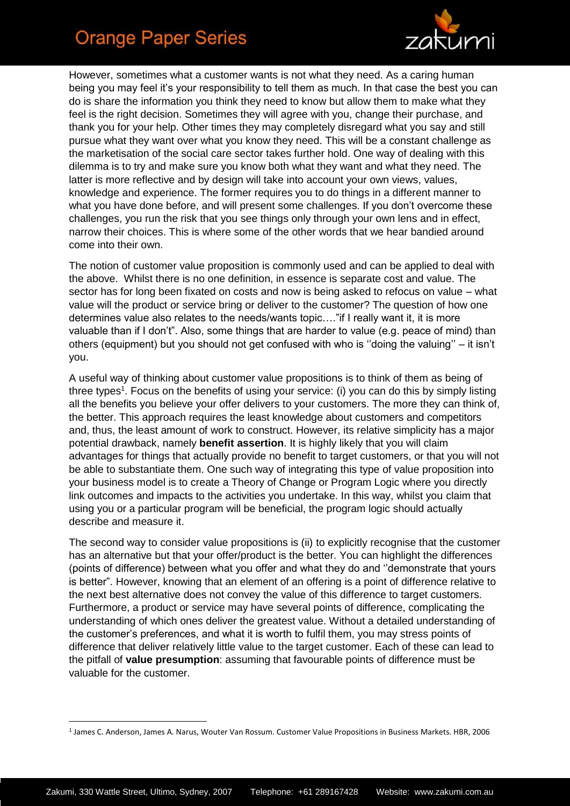## **Orange Paper Series**



However, sometimes what a customer wants is not what they need. As a caring human being you may feel it's your responsibility to tell them as much. In that case the best you can do is share the information you think they need to know but allow them to make what they feel is the right decision. Sometimes they will agree with you, change their purchase, and thank you for your help. Other times they may completely disregard what you say and still pursue what they want over what you know they need. This will be a constant challenge as the marketisation of the social care sector takes further hold. One way of dealing with this dilemma is to try and make sure you know both what they want and what they need. The latter is more reflective and by design will take into account your own views, values, knowledge and experience. The former requires you to do things in a different manner to what you have done before, and will present some challenges. If you don't overcome these challenges, you run the risk that you see things only through your own lens and in effect, narrow their choices. This is where some of the other words that we hear bandied around come into their own.

The notion of customer value proposition is commonly used and can be applied to deal with the above. Whilst there is no one definition, in essence is separate cost and value. The sector has for long been fixated on costs and now is being asked to refocus on value – what value will the product or service bring or deliver to the customer? The question of how one determines value also relates to the needs/wants topic…."if I really want it, it is more valuable than if I don't". Also, some things that are harder to value (e.g. peace of mind) than others (equipment) but you should not get confused with who is ''doing the valuing'' – it isn't you.

A useful way of thinking about customer value propositions is to think of them as being of three types<sup>1</sup>. Focus on the benefits of using your service: (i) you can do this by simply listing all the benefits you believe your offer delivers to your customers. The more they can think of, the better. This approach requires the least knowledge about customers and competitors and, thus, the least amount of work to construct. However, its relative simplicity has a major potential drawback, namely **benefit assertion**. It is highly likely that you will claim advantages for things that actually provide no benefit to target customers, or that you will not be able to substantiate them. One such way of integrating this type of value proposition into your business model is to create a Theory of Change or Program Logic where you directly link outcomes and impacts to the activities you undertake. In this way, whilst you claim that using you or a particular program will be beneficial, the program logic should actually describe and measure it.

The second way to consider value propositions is (ii) to explicitly recognise that the customer has an alternative but that your offer/product is the better. You can highlight the differences (points of difference) between what you offer and what they do and ''demonstrate that yours is better". However, knowing that an element of an offering is a point of difference relative to the next best alternative does not convey the value of this difference to target customers. Furthermore, a product or service may have several points of difference, complicating the understanding of which ones deliver the greatest value. Without a detailed understanding of the customer's preferences, and what it is worth to fulfil them, you may stress points of difference that deliver relatively little value to the target customer. Each of these can lead to the pitfall of **value presumption**: assuming that favourable points of difference must be valuable for the customer.

**.** 

<sup>1</sup> James C. Anderson, James A. Narus, Wouter Van Rossum. Customer Value Propositions in Business Markets. HBR, 2006